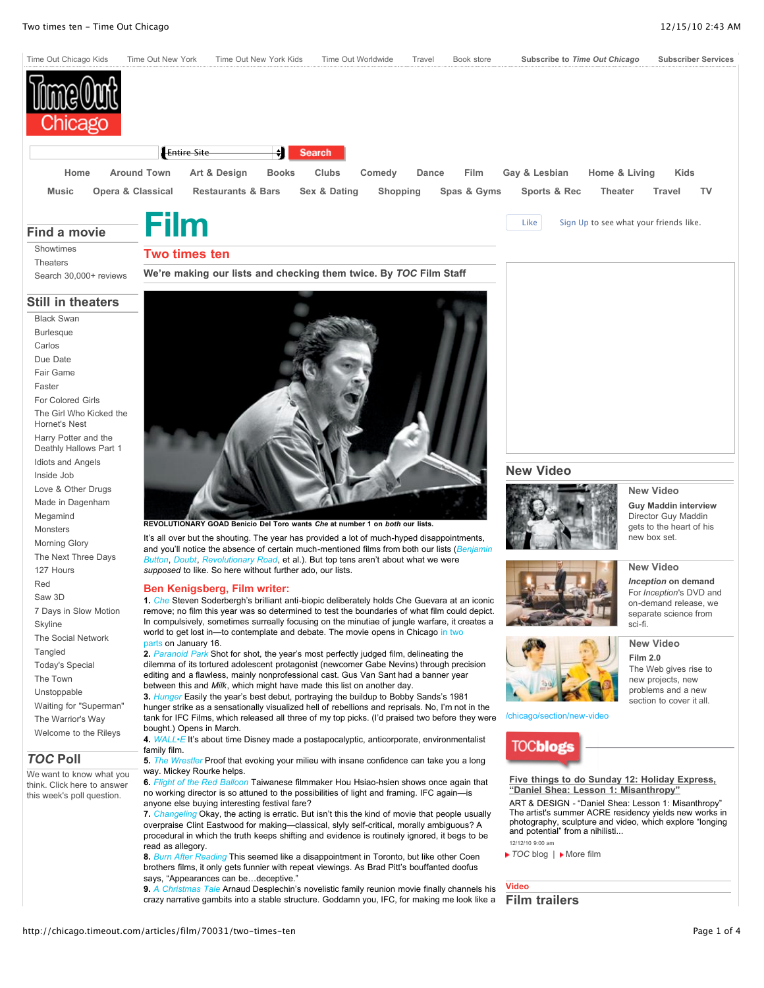

### **Find a movie**

[Showtimes](http://www.timeout.com/film/chicago/listings/) **[Theaters](http://www.timeout.com/film/chicago/listings/list-theaters/)** 

# **Two times ten**

Search [30,000+](http://www.timeout.com/film/chicago/index/film/) reviews **We're making our lists and checking them twice. By** *TOC* **Film Staff**

#### **Still in theaters**

Black [Swan](http://chicago.timeout.com/chicago/articles/film/90832/blackswan) [Burlesque](http://chicago.timeout.com/chicago/articles/film/90755/burlesque) [Carlos](http://chicago.timeout.com/chicago/articles/film/90833/carlos) Due [Date](http://chicago.timeout.com/chicago/articles/film/90392/duedate) Fair [Game](http://chicago.timeout.com/chicago/articles/film/90393/fairgame) [Faster](http://chicago.timeout.com/chicago/articles/film/90756/faster) [For Colored](http://chicago.timeout.com/chicago/articles/film/90394/forcoloredgirls) Girls The Girl Who Kicked the [Hornet's](http://chicago.timeout.com/chicago/articles/film/90253/thegirlwhokickedthehornetsnest) Nest Harry Potter and the Deathly [Hallows](http://chicago.timeout.com/chicago/articles/film/90633/harrypotterandthedeathlyhallowspart1) Part 1 Idiots and [Angels](http://chicago.timeout.com/chicago/articles/film/90834/idiotsandangels) [Inside](http://chicago.timeout.com/chicago/articles/film/89907/insidejob) Job Love & Other [Drugs](http://chicago.timeout.com/chicago/articles/film/90752/loveotherdrugs) Made in [Dagenham](http://chicago.timeout.com/chicago/articles/film/90742/madeindagenham) [Megamind](http://chicago.timeout.com/chicago/articles/film/90395/megamind) [Monsters](http://chicago.timeout.com/articles/new-video/90248/monsters-film-review) [Morning](http://chicago.timeout.com/chicago/articles/film/90493/morningglory) Glory The Next [Three](http://chicago.timeout.com/chicago/articles/film/90627/thenextthreedays) Days 127 [Hours](http://chicago.timeout.com/chicago/articles/film/90490/127hours) [Red](http://chicago.timeout.com/chicago/articles/film/89910/red) [Saw](http://www.timeout.com/film/chicago/reviews/88857/saw-3d.html) 3D 7 Days in Slow [Motion](http://chicago.timeout.com/chicago/articles/film/90746/7daysinslowmotion) [Skyline](http://chicago.timeout.com/chicago/articles/film/90534/skyline) The Social [Network](http://chicago.timeout.com/chicago/articles/film/89516/thesocialnetwork) **[Tangled](http://chicago.timeout.com/chicago/articles/film/90753/tangled)** [Today's](http://chicago.timeout.com/chicago/articles/film/90628/todaysspecial) Special The [Town](http://chicago.timeout.com/chicago/articles/film/89056/thetown) [Unstoppable](http://chicago.timeout.com/chicago/articles/film/90495/unstoppable) Waiting for ["Superman"](http://chicago.timeout.com/chicago/articles/film/89531/waitingforsuperman) The [Warrior's](http://chicago.timeout.com/articles/film/90839/the-warriors-way-film-review) Way [Welcome](http://chicago.timeout.com/chicago/articles/film/90754/welcometotherileys) to the Rileys

## *TOC* **Poll**

We want to know what you think. [Click here](http://www.timeoutchicago.com/poll) to answer this week's poll question.



**REVOLUTIONARY GOAD Benicio Del Toro wants** *Che* **at number 1 on** *both* **our lists.**

It's all over but the shouting. The year has provided a lot of much-hyped disappointments, and you'll notice the absence of certain [much-mentioned](http://chicago.timeout.com/film/chicago/reviews/86398/the-curious-case-of-benjamin-button.html) films from both our lists (Be *Button*, *[Doubt](http://chicago.timeout.com/film/chicago/reviews/86273/doubt.html)*, *[Revolutionary](http://chicago.timeout.com/film/chicago/reviews/85703/revolutionary-road.html) Road*, et al.). But top tens aren't about what we were *supposed* to like. So here without further ado, our lists.

#### **Ben Kenigsberg, Film writer:**

**1.** *[Che](http://chicago.timeout.com/film/chicago/reviews/86468/che.html)* Steven Soderbergh's brilliant anti-biopic deliberately holds Che Guevara at an iconic remove; no film this year was so determined to test the boundaries of what film could depict. In compulsively, sometimes surreally focusing on the minutiae of jungle warfare, it creates a world to get lost in-to [contemplate](http://www3.timeoutny.com/chicago/blog/out-and-about/?p=10642) and debate. The movie opens in Chicago in two parts on January 16.

**2.** *[Paranoid](http://chicago.timeout.com/film/chicago/reviews/84204/paranoid-park.html) Park* Shot for shot, the year's most perfectly judged film, delineating the dilemma of its tortured adolescent protagonist (newcomer Gabe Nevins) through precision editing and a flawless, mainly nonprofessional cast. Gus Van Sant had a banner year between this and *Milk*, which might have made this list on another day.

**3.** *[Hunger](http://chicago.timeout.com/film/chicago/reviews/85194/hunger.html)* Easily the year's best debut, portraying the buildup to Bobby Sands's 1981 hunger strike as a sensationally visualized hell of rebellions and reprisals. No, I'm not in the tank for IFC Films, which released all three of my top picks. (I'd praised two before they were bought.) Opens in March.

**4.** *[WALL•E](http://chicago.timeout.com/film/chicago/reviews/84337/wall-e.html)* It's about time Disney made a postapocalyptic, anticorporate, environmentalist family film.

**5.** *The [Wrestler](http://chicago.timeout.com/film/chicago/reviews/85210/the-wrestler.html)* Proof that evoking your milieu with insane confidence can take you a long way. Mickey Rourke helps.

**6.** *Flight of the Red [Balloon](http://chicago.timeout.com/film/chicago/reviews/84216/flight-of-the-red-balloon.html)* Taiwanese filmmaker Hou Hsiao-hsien shows once again that no working director is so attuned to the possibilities of light and framing. IFC again—is anyone else buying interesting festival fare?

**7.** *[Changeling](http://chicago.timeout.com/film/chicago/reviews/85784/changeling.html)* Okay, the acting is erratic. But isn't this the kind of movie that people usually overpraise Clint Eastwood for making—classical, slyly self-critical, morally ambiguous? A procedural in which the truth keeps shifting and evidence is routinely ignored, it begs to be read as allegory.

**8.** *Burn After [Reading](http://chicago.timeout.com/film/chicago/reviews/85211/burn-after-reading.html)* This seemed like a disappointment in Toronto, but like other Coen brothers films, it only gets funnier with repeat viewings. As Brad Pitt's bouffanted doofus says, "Appearances can be...deceptive."

**9.** *A [Christmas](http://chicago.timeout.com/film/chicago/reviews/85785/a-christmas-tale.html) Tale* Arnaud Desplechin's novelistic family reunion movie finally channels his crazy narrative gambits into a stable structure. Goddamn you, IFC, for making me look like a



#### **[New Video](http://chicago.timeout.com/chicago/section/new-video)**



**New [Video](http://chicago.timeout.com/chicago/articles/new-video/90928/familyguy)**

**New [Video](http://chicago.timeout.com/chicago/articles/new-video/90831/inceptiondeception)**

**New [Video](http://chicago.timeout.com/chicago/articles/film/88643/film20)**

**Guy [Maddin interview](http://chicago.timeout.com/chicago/articles/new-video/90928/familyguy)** [Director](http://chicago.timeout.com/chicago/articles/new-video/90928/familyguy) Guy Maddin gets to the heart of his new box set.



*[Inception](http://chicago.timeout.com/chicago/articles/new-video/90831/inceptiondeception)* **on demand** For *Inception*'s DVD and [on-demand](http://chicago.timeout.com/chicago/articles/new-video/90831/inceptiondeception) release, we separate science from sci-fi.



**[Film](http://chicago.timeout.com/chicago/articles/film/88643/film20) 2.0** The Web gives rise to new projects, new [problems](http://chicago.timeout.com/chicago/articles/film/88643/film20) and a new section to cover it all.

[/chicago/section/new-video](http://chicago.timeout.com/articles/film/70031/More%20New%20Video)

**TOCblogs** 

**Five things to do Sunday 12: Holiday Express, "Daniel Shea: Lesson 1: [Misanthropy"](http://www3.timeoutny.com/chicago/blog/out-and-about/2010/12/five-things-to-do-sunday-12-holiday-express-%e2%80%9cdaniel-shea-lesson-1-misanthropy%e2%80%9d/)**

ART & DESIGN - "Daniel Shea: Lesson 1: Misanthropy" The artist's summer ACRE residency yields new works in photography, sculpture and video, which explore "longing and potential" from a nihilisti... 12/12/10 9:00 am

**▶ [TOC](http://www3.timeoutny.com/chicago/blog/out-and-about)** blog | ▶ [More](http://www3.timeoutny.com/chicago/blog/out-and-about/category/film/) film

**Video Film trailers**